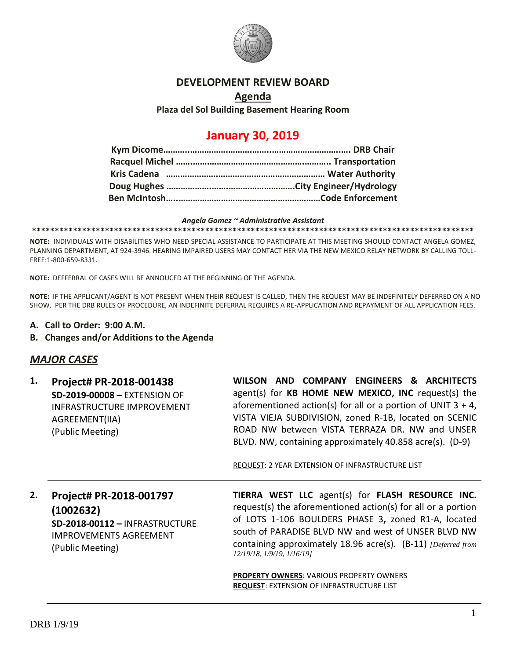

### **DEVELOPMENT REVIEW BOARD**

### **Agenda Plaza del Sol Building Basement Hearing Room**

# **January 30, 2019**

#### *Angela Gomez ~ Administrative Assistant*

**\*\*\*\*\*\*\*\*\*\*\*\*\*\*\*\*\*\*\*\*\*\*\*\*\*\*\*\*\*\*\*\*\*\*\*\*\*\*\*\*\*\*\*\*\*\*\*\*\*\*\*\*\*\*\*\*\*\*\*\*\*\*\*\*\*\*\*\*\*\*\*\*\*\*\*\*\*\*\*\*\*\*\*\*\*\*\*\*\*\*\*\*\*\*\*\*\***

**NOTE:** INDIVIDUALS WITH DISABILITIES WHO NEED SPECIAL ASSISTANCE TO PARTICIPATE AT THIS MEETING SHOULD CONTACT ANGELA GOMEZ, PLANNING DEPARTMENT, AT 924-3946. HEARING IMPAIRED USERS MAY CONTACT HER VIA THE NEW MEXICO RELAY NETWORK BY CALLING TOLL-FREE:1-800-659-8331.

**NOTE:** DEFFERRAL OF CASES WILL BE ANNOUCED AT THE BEGINNING OF THE AGENDA.

**NOTE:** IF THE APPLICANT/AGENT IS NOT PRESENT WHEN THEIR REQUEST IS CALLED, THEN THE REQUEST MAY BE INDEFINITELY DEFERRED ON A NO SHOW. PER THE DRB RULES OF PROCEDURE, AN INDEFINITE DEFERRAL REQUIRES A RE-APPLICATION AND REPAYMENT OF ALL APPLICATION FEES.

- **A. Call to Order: 9:00 A.M.**
- **B. Changes and/or Additions to the Agenda**

### *MAJOR CASES*

| Project# PR-2018-001438<br><b>SD-2019-00008 - EXTENSION OF</b><br><b>INFRASTRUCTURE IMPROVEMENT</b><br>AGREEMENT(IIA)<br>(Public Meeting) | WILSON AND COMPANY ENGINEERS & ARCHITECTS<br>agent(s) for KB HOME NEW MEXICO, INC request(s) the<br>aforementioned action(s) for all or a portion of UNIT $3 + 4$ ,<br>VISTA VIEJA SUBDIVISION, zoned R-1B, located on SCENIC<br>ROAD NW between VISTA TERRAZA DR. NW and UNSER<br>BLVD. NW, containing approximately 40.858 acre(s). (D-9)<br>REQUEST: 2 YEAR EXTENSION OF INFRASTRUCTURE LIST |
|-------------------------------------------------------------------------------------------------------------------------------------------|-------------------------------------------------------------------------------------------------------------------------------------------------------------------------------------------------------------------------------------------------------------------------------------------------------------------------------------------------------------------------------------------------|
| Project# PR-2018-001797<br>(1002632)<br><b>SD-2018-00112 - INFRASTRUCTURE</b><br><b>IMPROVEMENTS AGREEMENT</b><br>(Public Meeting)        | TIERRA WEST LLC agent(s) for FLASH RESOURCE INC.<br>request(s) the aforementioned action(s) for all or a portion<br>of LOTS 1-106 BOULDERS PHASE 3, zoned R1-A, located<br>south of PARADISE BLVD NW and west of UNSER BLVD NW<br>containing approximately 18.96 acre(s). (B-11) [Deferred from<br>12/19/18, 1/9/19, 1/16/19]<br><b>PROPERTY OWNERS: VARIOUS PROPERTY OWNERS</b>                |
|                                                                                                                                           |                                                                                                                                                                                                                                                                                                                                                                                                 |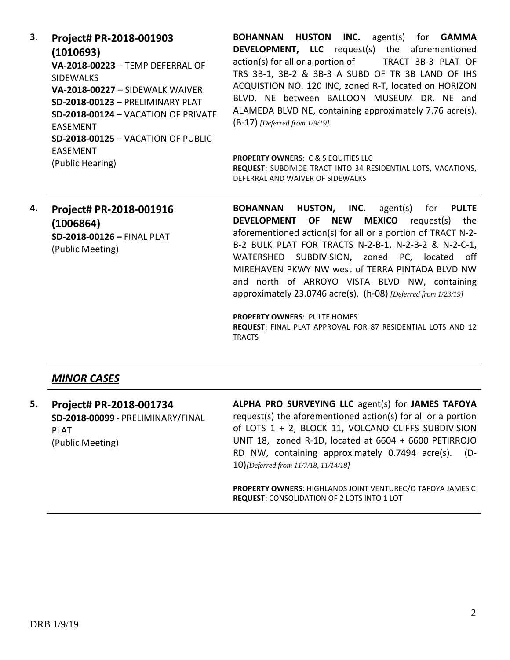**3**. **Project# PR-2018-001903 (1010693) VA-2018-00223** – TEMP DEFERRAL OF SIDEWALKS **VA-2018-00227** – SIDEWALK WAIVER **SD-2018-00123** – PRELIMINARY PLAT **SD-2018-00124** – VACATION OF PRIVATE EASEMENT **SD-2018-00125** – VACATION OF PUBLIC EASEMENT (Public Hearing)

**BOHANNAN HUSTON INC.** agent(s) for **GAMMA DEVELOPMENT, LLC** request(s) the aforementioned action(s) for all or a portion of TRACT 3B-3 PLAT OF TRS 3B-1, 3B-2 & 3B-3 A SUBD OF TR 3B LAND OF IHS ACQUISTION NO. 120 INC, zoned R-T, located on HORIZON BLVD. NE between BALLOON MUSEUM DR. NE and ALAMEDA BLVD NE, containing approximately 7.76 acre(s). (B-17) *[Deferred from 1/9/19]*

#### **PROPERTY OWNERS**: C & S EQUITIES LLC

**REQUEST**: SUBDIVIDE TRACT INTO 34 RESIDENTIAL LOTS, VACATIONS, DEFERRAL AND WAIVER OF SIDEWALKS

## **4. Project# PR-2018-001916 (1006864) SD-2018-00126 –** FINAL PLAT (Public Meeting)

**BOHANNAN HUSTON, INC.** agent(s) for **PULTE DEVELOPMENT OF NEW MEXICO** request(s) the aforementioned action(s) for all or a portion of TRACT N-2- B-2 BULK PLAT FOR TRACTS N-2-B-1, N-2-B-2 & N-2-C-1**,**  WATERSHED SUBDIVISION**,** zoned PC, located off MIREHAVEN PKWY NW west of TERRA PINTADA BLVD NW and north of ARROYO VISTA BLVD NW, containing approximately 23.0746 acre(s). (h-08) *[Deferred from 1/23/19]*

**PROPERTY OWNERS**: PULTE HOMES

**REQUEST**: FINAL PLAT APPROVAL FOR 87 RESIDENTIAL LOTS AND 12 **TRACTS** 

### *MINOR CASES*

**5. Project# PR-2018-001734 SD-2018-00099** - PRELIMINARY/FINAL PLAT (Public Meeting)

**ALPHA PRO SURVEYING LLC** agent(s) for **JAMES TAFOYA** request(s) the aforementioned action(s) for all or a portion of LOTS 1 + 2, BLOCK 11**,** VOLCANO CLIFFS SUBDIVISION UNIT 18, zoned R-1D, located at 6604 + 6600 PETIRROJO RD NW, containing approximately 0.7494 acre(s). (D-10)*[Deferred from 11/7/18, 11/14/18]*

**PROPERTY OWNERS**: HIGHLANDS JOINT VENTUREC/O TAFOYA JAMES C **REQUEST**: CONSOLIDATION OF 2 LOTS INTO 1 LOT